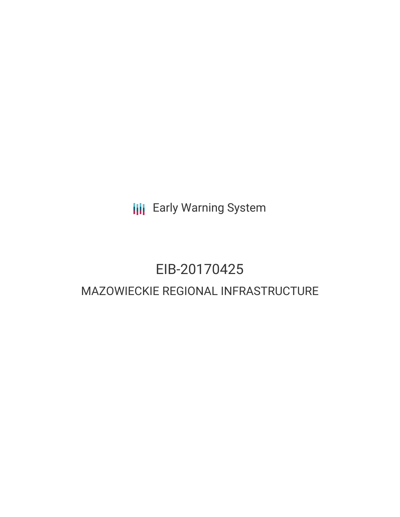**III** Early Warning System

# EIB-20170425

# MAZOWIECKIE REGIONAL INFRASTRUCTURE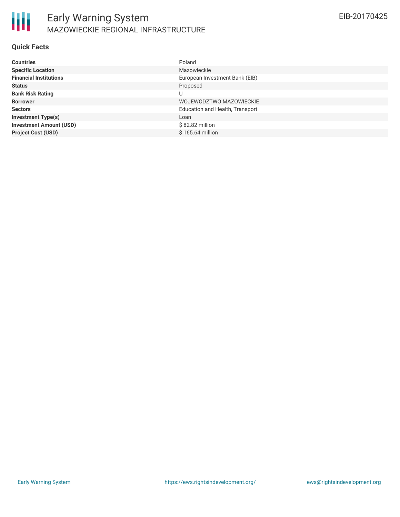

#### **Quick Facts**

| <b>Countries</b>               | Poland                          |
|--------------------------------|---------------------------------|
| <b>Specific Location</b>       | Mazowieckie                     |
| <b>Financial Institutions</b>  | European Investment Bank (EIB)  |
| <b>Status</b>                  | Proposed                        |
| <b>Bank Risk Rating</b>        | U                               |
| <b>Borrower</b>                | WOJEWODZTWO MAZOWIECKIE         |
| <b>Sectors</b>                 | Education and Health, Transport |
| <b>Investment Type(s)</b>      | Loan                            |
| <b>Investment Amount (USD)</b> | \$82.82 million                 |
| <b>Project Cost (USD)</b>      | \$165.64 million                |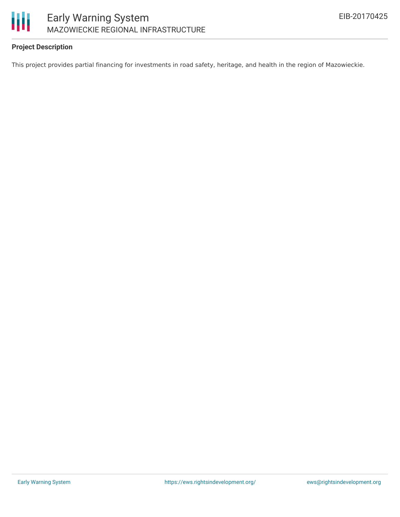

## **Project Description**

This project provides partial financing for investments in road safety, heritage, and health in the region of Mazowieckie.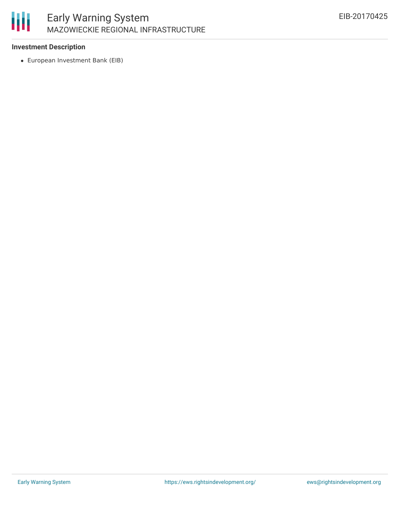

## **Investment Description**

European Investment Bank (EIB)